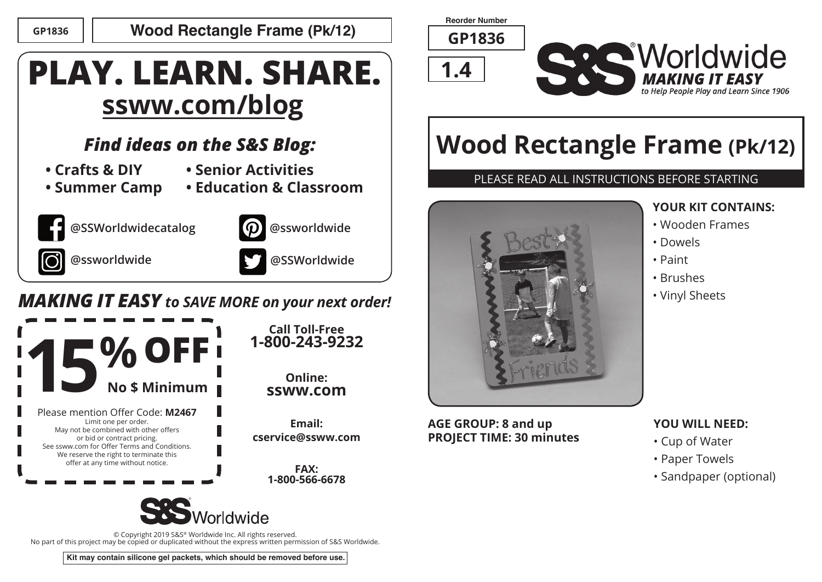### **GP1836 Wood Rectangle Frame (Pk/12)**

# **PLAY. LEARN. SHARE. ssww.com/blog**

## *Find ideas on the S&S Blog:*

- **Crafts & DIY**
- **Senior Activities**
- **Summer Camp**







**Call Toll-Free 1-800-243-9232**

> **Online: ssww.com**

**Email: cservice@ssww.com**

> **FAX: 1-800-566-6678**

**@ssworldwide .**



### *MAKING IT EASY to SAVE MORE on your next order!*



© Copyright 2019 S&S® Worldwide Inc. All rights reserved. No part of this project may be copied or duplicated without the express written permission of S&S Worldwide.

**Kit may contain silicone gel packets, which should be removed before use.**

**Reorder Number**

**GP1836**





# **Wood Rectangle Frame (Pk/12)**

### PLEASE READ ALL INSTRUCTIONS BEFORE STARTING



**AGE GROUP: 8 and up PROJECT TIME: 30 minutes**

### **YOUR KIT CONTAINS:**

- Wooden Frames
- Dowels
- Paint
- Brushes
- Vinyl Sheets

#### **YOU WILL NEED:**

- Cup of Water
- Paper Towels
- Sandpaper (optional)